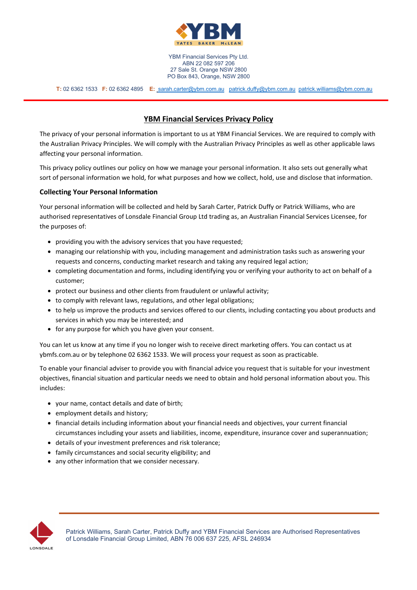

 **T:** 02 6362 1533 **F:** 02 6362 4895 **E:** sarah.carter@ybm.com.au patrick.duffy@ybm.com.au patrick.williams@ybm.com.au

# **YBM Financial Services Privacy Policy**

The privacy of your personal information is important to us at YBM Financial Services. We are required to comply with the Australian Privacy Principles. We will comply with the Australian Privacy Principles as well as other applicable laws affecting your personal information.

This privacy policy outlines our policy on how we manage your personal information. It also sets out generally what sort of personal information we hold, for what purposes and how we collect, hold, use and disclose that information.

# **Collecting Your Personal Information**

Your personal information will be collected and held by Sarah Carter, Patrick Duffy or Patrick Williams, who are authorised representatives of Lonsdale Financial Group Ltd trading as, an Australian Financial Services Licensee, for the purposes of:

- providing you with the advisory services that you have requested;
- managing our relationship with you, including management and administration tasks such as answering your requests and concerns, conducting market research and taking any required legal action;
- completing documentation and forms, including identifying you or verifying your authority to act on behalf of a customer;
- protect our business and other clients from fraudulent or unlawful activity;
- to comply with relevant laws, regulations, and other legal obligations;
- to help us improve the products and services offered to our clients, including contacting you about products and services in which you may be interested; and
- for any purpose for which you have given your consent.

You can let us know at any time if you no longer wish to receive direct marketing offers. You can contact us at ybmfs.com.au or by telephone 02 6362 1533. We will process your request as soon as practicable.

To enable your financial adviser to provide you with financial advice you request that is suitable for your investment objectives, financial situation and particular needs we need to obtain and hold personal information about you. This includes:

- your name, contact details and date of birth;
- employment details and history;
- financial details including information about your financial needs and objectives, your current financial circumstances including your assets and liabilities, income, expenditure, insurance cover and superannuation;
- details of your investment preferences and risk tolerance;
- family circumstances and social security eligibility; and
- any other information that we consider necessary.

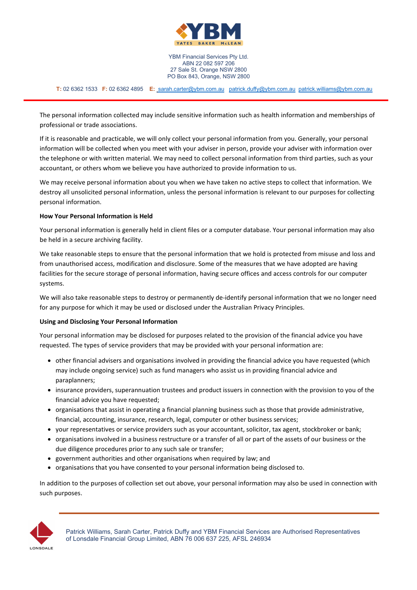

 **T:** 02 6362 1533 **F:** 02 6362 4895 **E:** sarah.carter@ybm.com.au patrick.duffy@ybm.com.au patrick.williams@ybm.com.au

The personal information collected may include sensitive information such as health information and memberships of professional or trade associations.

If it is reasonable and practicable, we will only collect your personal information from you. Generally, your personal information will be collected when you meet with your adviser in person, provide your adviser with information over the telephone or with written material. We may need to collect personal information from third parties, such as your accountant, or others whom we believe you have authorized to provide information to us.

We may receive personal information about you when we have taken no active steps to collect that information. We destroy all unsolicited personal information, unless the personal information is relevant to our purposes for collecting personal information.

### **How Your Personal Information is Held**

Your personal information is generally held in client files or a computer database. Your personal information may also be held in a secure archiving facility.

We take reasonable steps to ensure that the personal information that we hold is protected from misuse and loss and from unauthorised access, modification and disclosure. Some of the measures that we have adopted are having facilities for the secure storage of personal information, having secure offices and access controls for our computer systems.

We will also take reasonable steps to destroy or permanently de-identify personal information that we no longer need for any purpose for which it may be used or disclosed under the Australian Privacy Principles.

#### **Using and Disclosing Your Personal Information**

Your personal information may be disclosed for purposes related to the provision of the financial advice you have requested. The types of service providers that may be provided with your personal information are:

- other financial advisers and organisations involved in providing the financial advice you have requested (which may include ongoing service) such as fund managers who assist us in providing financial advice and paraplanners;
- insurance providers, superannuation trustees and product issuers in connection with the provision to you of the financial advice you have requested;
- organisations that assist in operating a financial planning business such as those that provide administrative, financial, accounting, insurance, research, legal, computer or other business services;
- your representatives or service providers such as your accountant, solicitor, tax agent, stockbroker or bank;
- organisations involved in a business restructure or a transfer of all or part of the assets of our business or the due diligence procedures prior to any such sale or transfer;
- government authorities and other organisations when required by law; and
- organisations that you have consented to your personal information being disclosed to.

In addition to the purposes of collection set out above, your personal information may also be used in connection with such purposes.

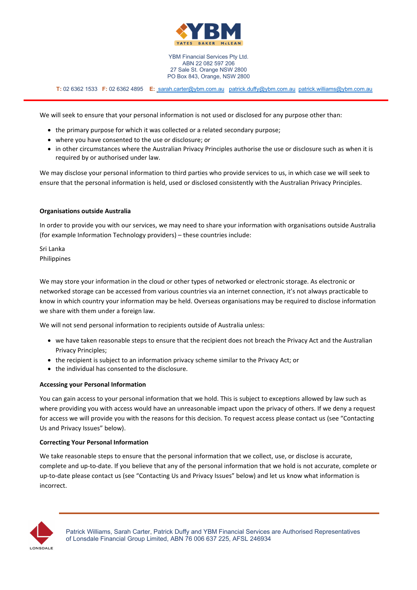

 **T:** 02 6362 1533 **F:** 02 6362 4895 **E:** sarah.carter@ybm.com.au patrick.duffy@ybm.com.au patrick.williams@ybm.com.au

We will seek to ensure that your personal information is not used or disclosed for any purpose other than:

- the primary purpose for which it was collected or a related secondary purpose;
- where you have consented to the use or disclosure; or
- in other circumstances where the Australian Privacy Principles authorise the use or disclosure such as when it is required by or authorised under law.

We may disclose your personal information to third parties who provide services to us, in which case we will seek to ensure that the personal information is held, used or disclosed consistently with the Australian Privacy Principles.

### **Organisations outside Australia**

In order to provide you with our services, we may need to share your information with organisations outside Australia (for example Information Technology providers) – these countries include:

Sri Lanka Philippines

We may store your information in the cloud or other types of networked or electronic storage. As electronic or networked storage can be accessed from various countries via an internet connection, it's not always practicable to know in which country your information may be held. Overseas organisations may be required to disclose information we share with them under a foreign law.

We will not send personal information to recipients outside of Australia unless:

- we have taken reasonable steps to ensure that the recipient does not breach the Privacy Act and the Australian Privacy Principles;
- the recipient is subject to an information privacy scheme similar to the Privacy Act; or
- the individual has consented to the disclosure.

#### **Accessing your Personal Information**

You can gain access to your personal information that we hold. This is subject to exceptions allowed by law such as where providing you with access would have an unreasonable impact upon the privacy of others. If we deny a request for access we will provide you with the reasons for this decision. To request access please contact us (see "Contacting Us and Privacy Issues" below).

#### **Correcting Your Personal Information**

We take reasonable steps to ensure that the personal information that we collect, use, or disclose is accurate, complete and up-to-date. If you believe that any of the personal information that we hold is not accurate, complete or up-to-date please contact us (see "Contacting Us and Privacy Issues" below) and let us know what information is incorrect.